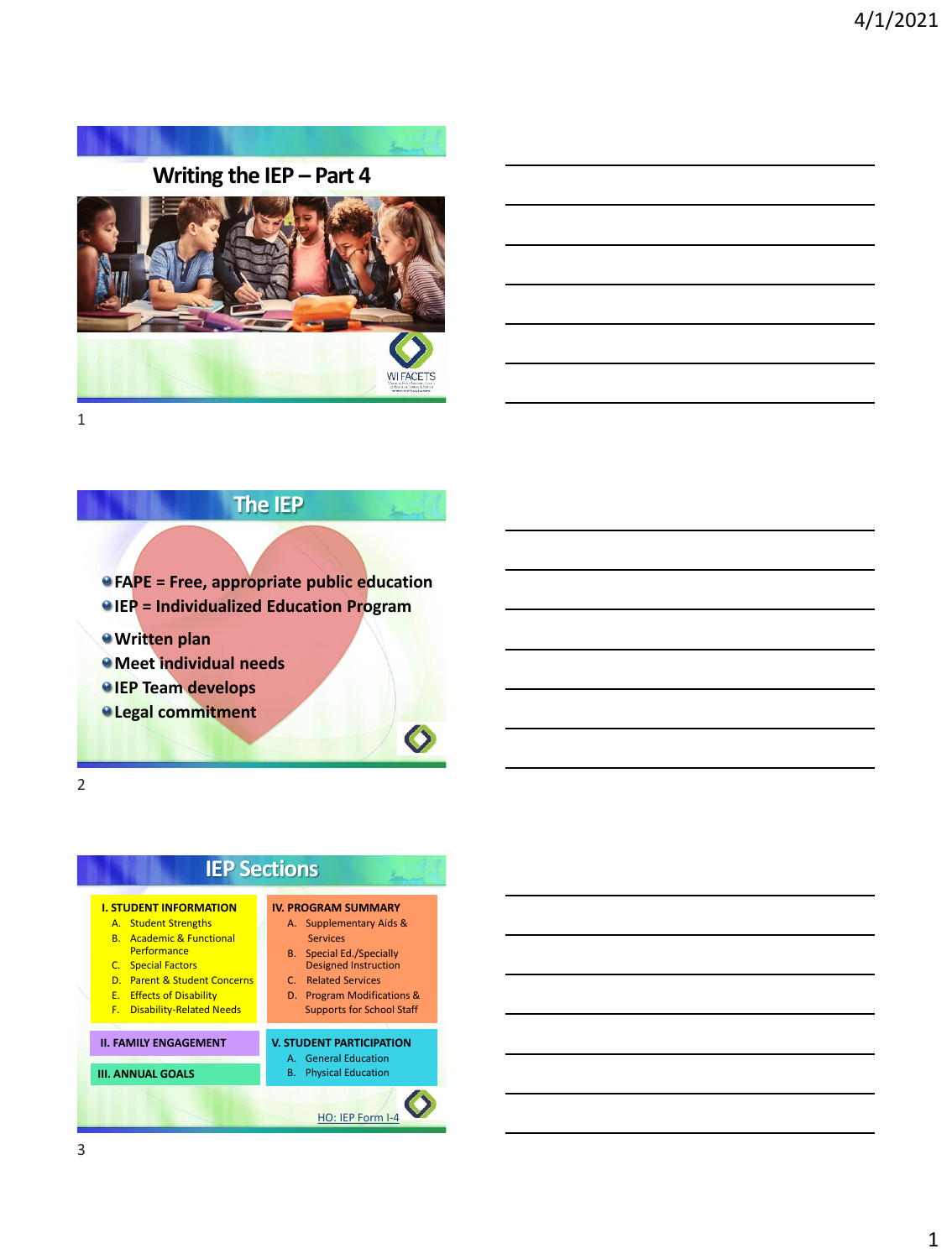

## **Writing the IEP – Part 4**





#### **The IEP**

**FAPE = Free, appropriate public education**

- **IEP = Individualized Education Program**
- **Written plan**
- **Meet individual needs**
- *<u>IEP Team develops</u>*
- **Legal commitment**

2

### **IEP Sections**

#### **I. STUDENT INFORMATION**

- A. Student Strengths
- B. Academic & Functional
- **Performance** C. Special Factors
- D. Parent & Student Concerns
- E. Effects of Disability
- F. Disability-Related Needs

#### **II. FAMILY ENGAGEMENT**

#### **III. ANNUAL GOALS**

#### **IV. PROGRAM SUMMARY**

- A. Supplementary Aids & Services
- B. Special Ed./Specially Designed Instruction
- C. Related Services
- D. Program Modifications & Supports for School Staff

#### **V. STUDENT PARTICIPATION**

- A. General Education
- B. Physical Education

[HO: IEP Form I-4](https://dpi.wi.gov/sped/laws-procedures-bulletins/procedures/sample/forms)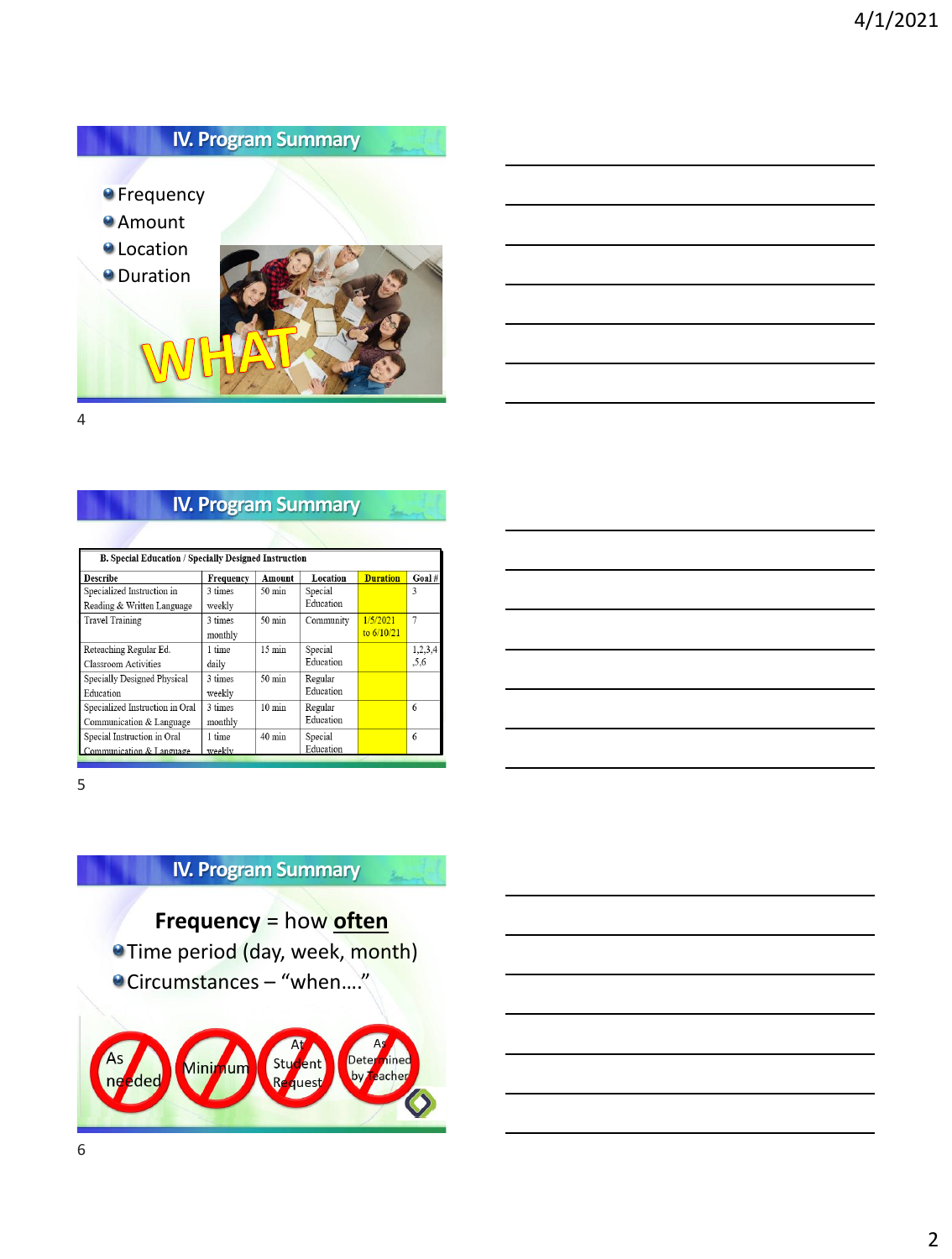

# **IV. Program Summary**

| <b>B. Special Education / Specially Designed Instruction</b> |           |                  |           |                 |                |
|--------------------------------------------------------------|-----------|------------------|-----------|-----------------|----------------|
| Describe                                                     | Frequency | Amount           | Location  | <b>Duration</b> | Goal#          |
| Specialized Instruction in                                   | 3 times   | 50 min           | Special   |                 | 3              |
| Reading & Written Language                                   | weekly    |                  | Education |                 |                |
| <b>Travel Training</b>                                       | 3 times   | $50 \text{ min}$ | Community | 1/5/2021        | $\overline{7}$ |
|                                                              | monthly   |                  |           | to $6/10/21$    |                |
| Reteaching Regular Ed.                                       | 1 time    | $15 \text{ min}$ | Special   |                 | 1,2,3,4        |
| Classroom Activities                                         | daily     |                  | Education |                 | .5,6           |
| Specially Designed Physical                                  | 3 times   | 50 min           | Regular   |                 |                |
| Education                                                    | weekly    |                  | Education |                 |                |
| Specialized Instruction in Oral                              | 3 times   | $10 \text{ min}$ | Regular   |                 | 6              |
| Communication & Language                                     | monthly   |                  | Education |                 |                |
| Special Instruction in Oral                                  | 1 time    | 40 min           | Special   |                 | 6              |
| Communication & Language                                     | weekly    |                  | Education |                 |                |

5

## **IV. Program Summary**

- **Frequency** = how **often Time period (day, week, month)**
- Circumstances "when…."

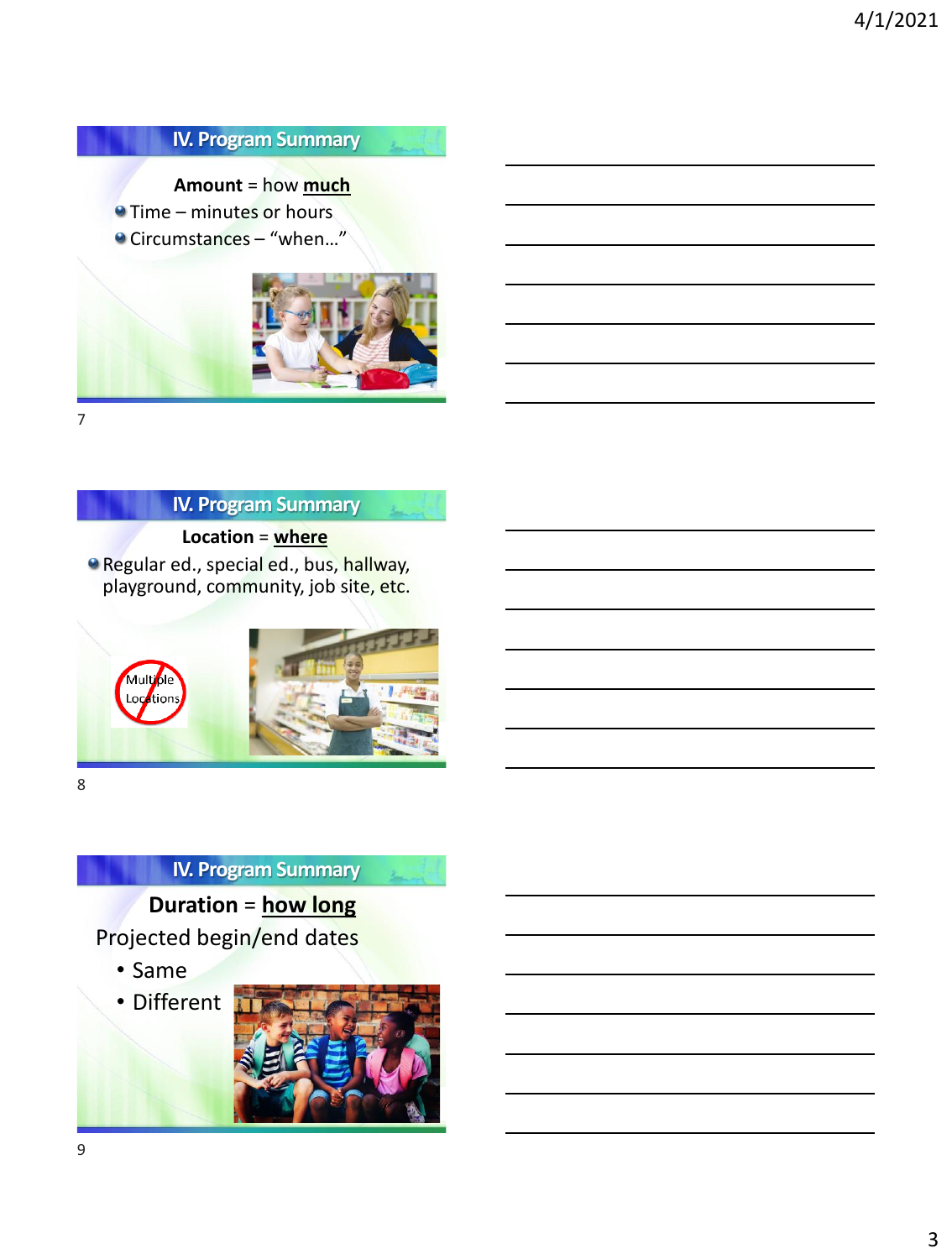## **IV. Program Summary**

 $\lambda$ 

**Amount** = how **much**

**• Time – minutes or hours** ● Circumstances – "when..."



7

#### **IV. Program Summary**

**Location** = **where Regular ed., special ed., bus, hallway,** 

playground, community, job site, etc.



8

## **IV. Program Summary**

**Duration** = **how long**

Projected begin/end dates

• Same

• Different

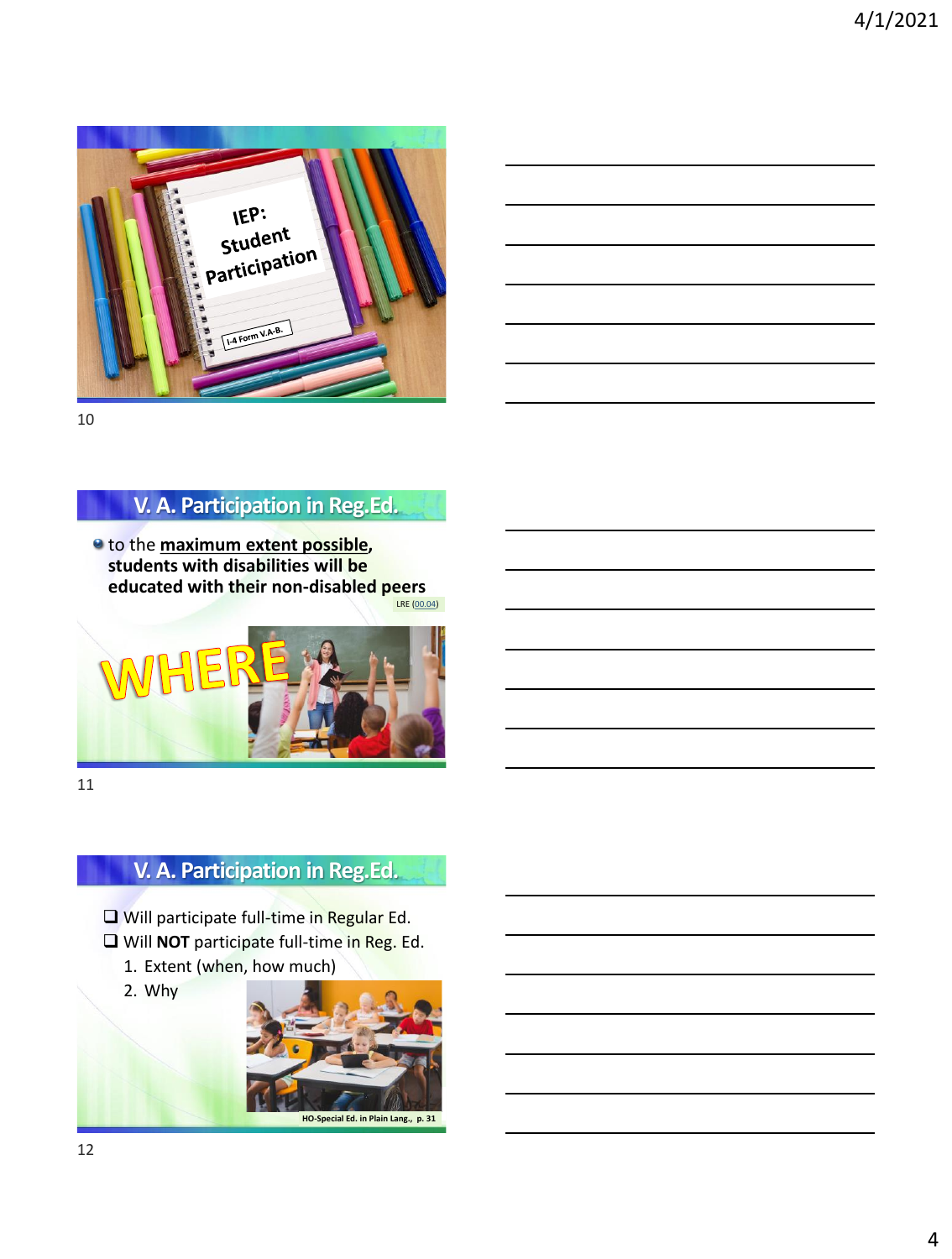

10

### **V. A. Participation in Reg.Ed.**

LRE ([00.04](https://dpi.wi.gov/sped/laws-procedures-bulletins/bulletins/00-04)) to the **maximum extent possible, students with disabilities will be educated with their non-disabled peers**



11

## **V. A. Participation in Reg.Ed.**

- ❑ Will participate full-time in Regular Ed.
- ❑ Will **NOT** participate full-time in Reg. Ed.
	- 1. Extent (when, how much)

2. Why

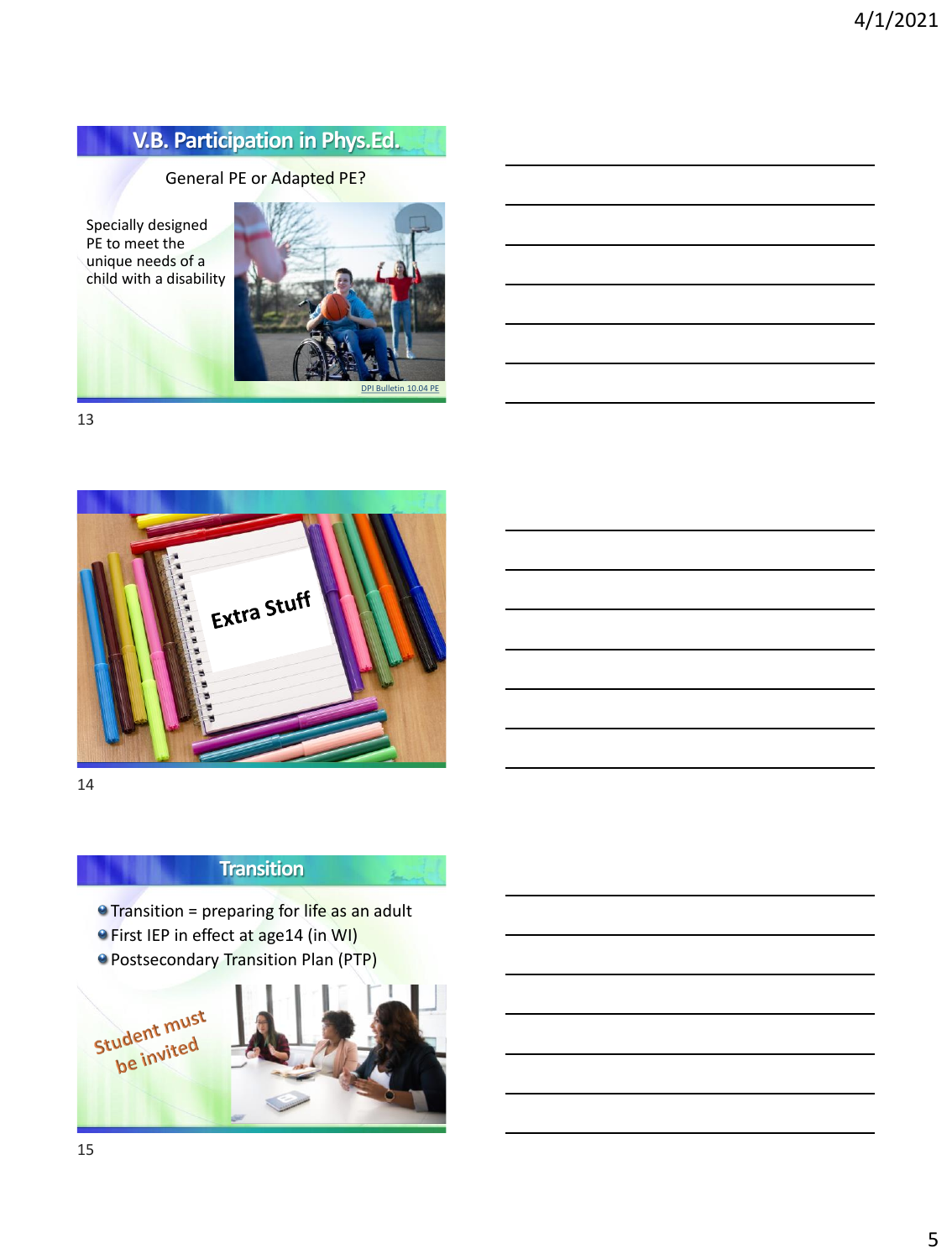## **V.B. Participation in Phys.Ed.**

#### General PE or Adapted PE?

Specially designed PE to meet the unique needs of a child with a disability



13



14

## **Transition**

**O** Transition = preparing for life as an adult

- **•** First IEP in effect at age14 (in WI)
- **Postsecondary Transition Plan (PTP)**

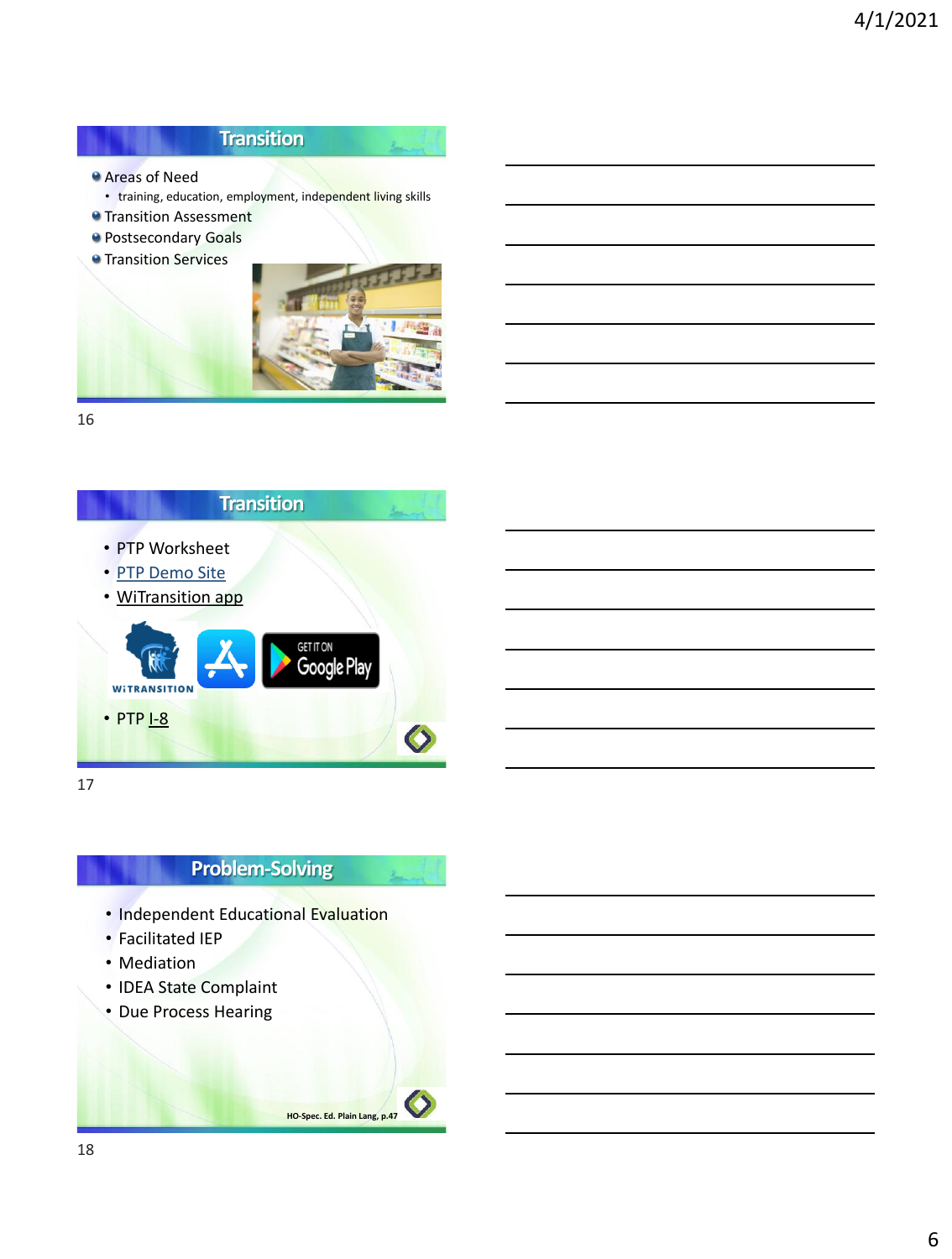### **Transition**

- Areas of Need
	- training, education, employment, independent living skills
- **O** Transition Assessment
- **Postsecondary Goals**
- **Transition Services**



أسمع

16



17

### **Problem-Solving**

**HO-Spec. Ed. Plain Lang, p.47**

- Independent Educational Evaluation
- Facilitated IEP
- Mediation
- IDEA State Complaint
- Due Process Hearing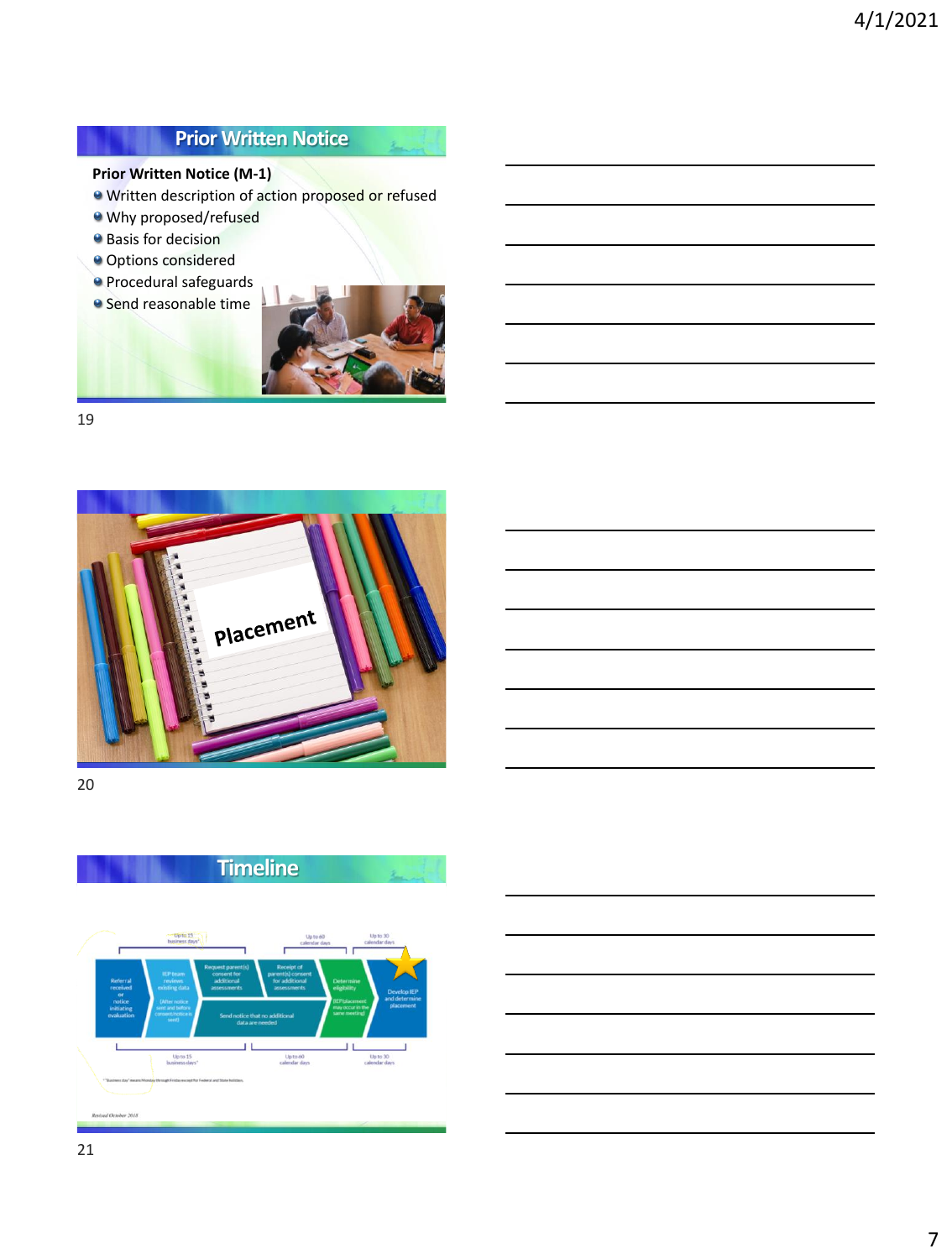## **Prior Written Notice**

#### **Prior Written Notice (M-1)**

- Written description of action proposed or refused
- Why proposed/refused
- **Basis for decision**
- **Options considered**
- Procedural safeguards **Send reasonable time**



 $\lambda$ 

19



20





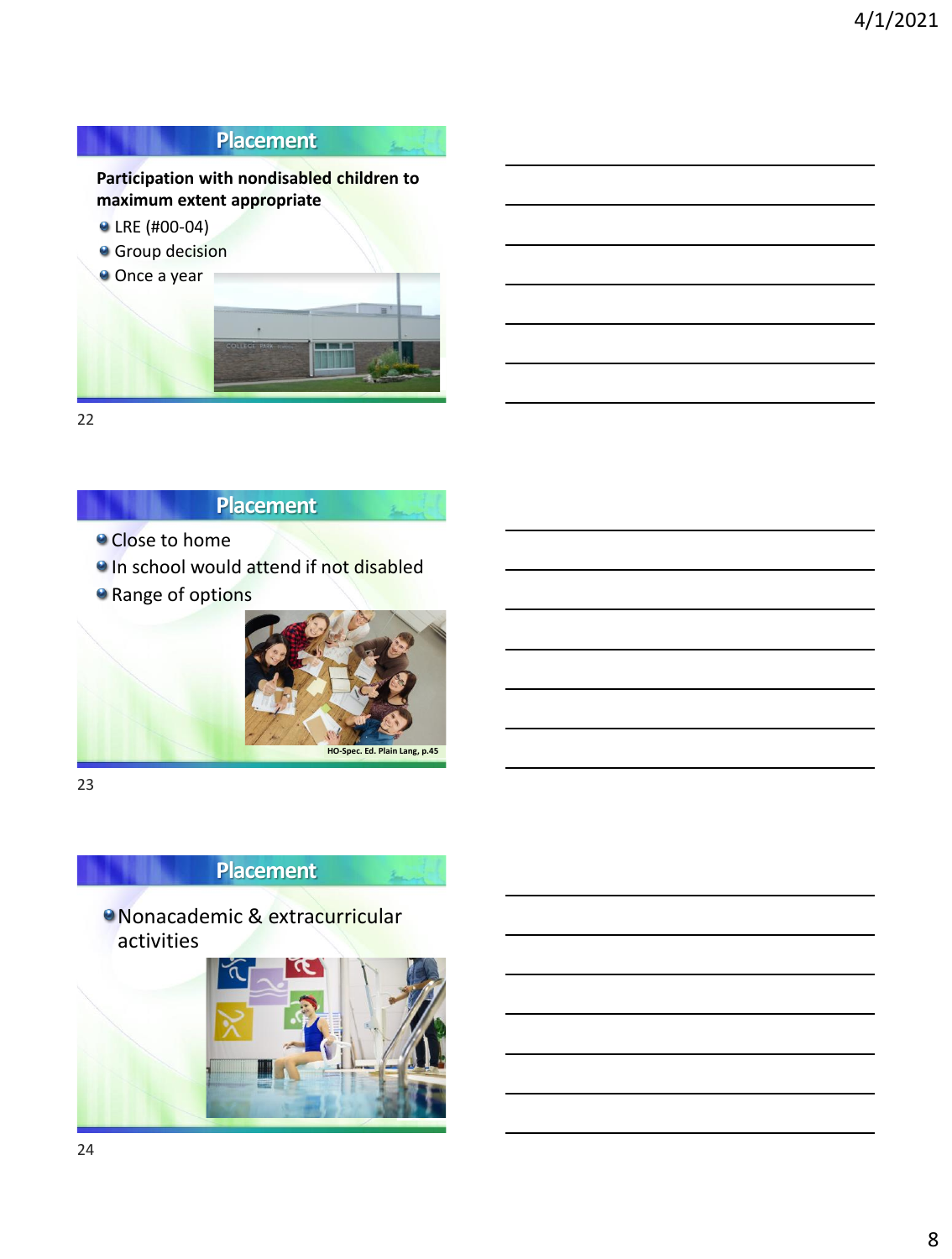

22

### **Placement**

- **Close to home**
- **In school would attend if not disabled**
- **a** Range of options



23

## **Placement**

Nonacademic & extracurricular activities